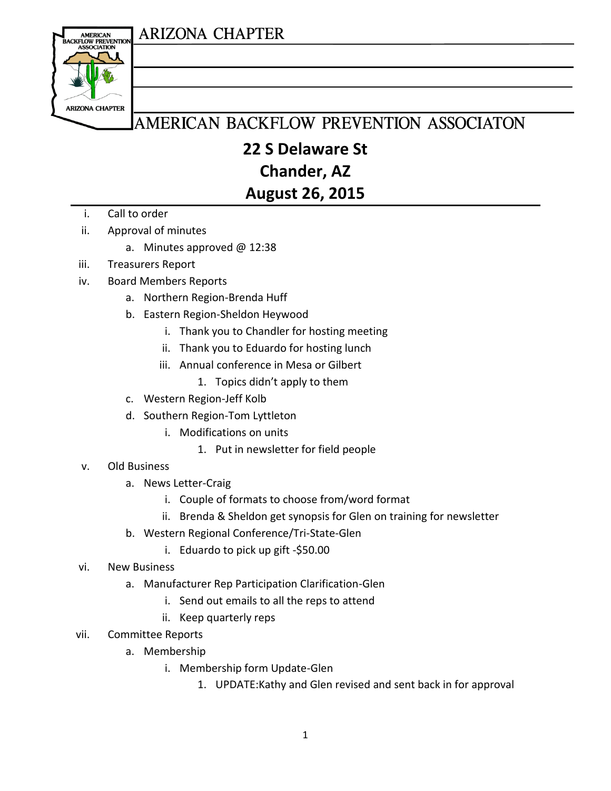#### **ARIZONA CHAPTER**



## AMERICAN BACKFLOW PREVENTION ASSOCIATON

#### **22 S Delaware St Chander, AZ**

#### **August 26, 2015**

- i. Call to order
- ii. Approval of minutes
	- a. Minutes approved @ 12:38
- iii. Treasurers Report
- iv. Board Members Reports
	- a. Northern Region-Brenda Huff
	- b. Eastern Region-Sheldon Heywood
		- i. Thank you to Chandler for hosting meeting
		- ii. Thank you to Eduardo for hosting lunch
		- iii. Annual conference in Mesa or Gilbert
			- 1. Topics didn't apply to them
	- c. Western Region-Jeff Kolb
	- d. Southern Region-Tom Lyttleton
		- i. Modifications on units
			- 1. Put in newsletter for field people
- v. Old Business
	- a. News Letter-Craig
		- i. Couple of formats to choose from/word format
		- ii. Brenda & Sheldon get synopsis for Glen on training for newsletter
	- b. Western Regional Conference/Tri-State-Glen
		- i. Eduardo to pick up gift -\$50.00
- vi. New Business
	- a. Manufacturer Rep Participation Clarification-Glen
		- i. Send out emails to all the reps to attend
		- ii. Keep quarterly reps
- vii. Committee Reports
	- a. Membership
		- i. Membership form Update-Glen
			- 1. UPDATE:Kathy and Glen revised and sent back in for approval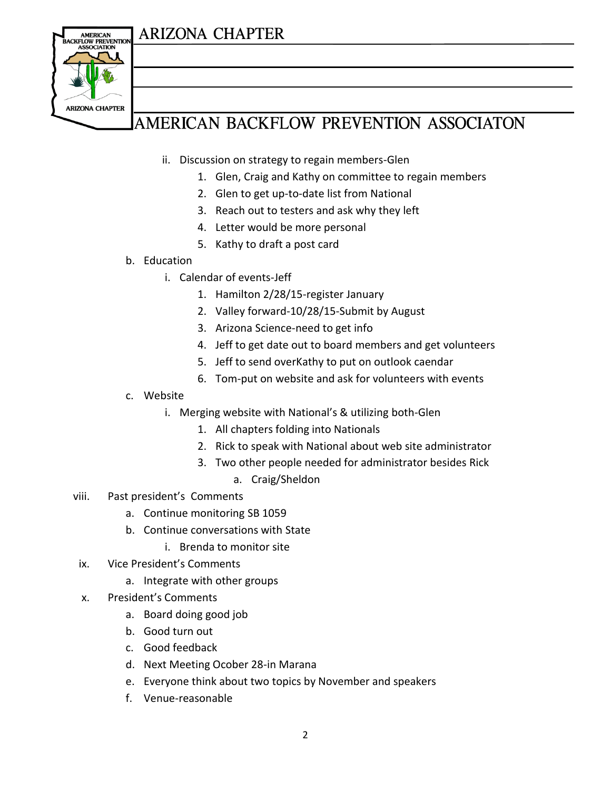#### **ARIZONA CHAPTER**



# AMERICAN BACKFLOW PREVENTION ASSOCIATON

- ii. Discussion on strategy to regain members-Glen
	- 1. Glen, Craig and Kathy on committee to regain members
	- 2. Glen to get up-to-date list from National
	- 3. Reach out to testers and ask why they left
	- 4. Letter would be more personal
	- 5. Kathy to draft a post card
- b. Education
	- i. Calendar of events-Jeff
		- 1. Hamilton 2/28/15-register January
		- 2. Valley forward-10/28/15-Submit by August
		- 3. Arizona Science-need to get info
		- 4. Jeff to get date out to board members and get volunteers
		- 5. Jeff to send overKathy to put on outlook caendar
		- 6. Tom-put on website and ask for volunteers with events
- c. Website
	- i. Merging website with National's & utilizing both-Glen
		- 1. All chapters folding into Nationals
		- 2. Rick to speak with National about web site administrator
		- 3. Two other people needed for administrator besides Rick
			- a. Craig/Sheldon
- viii. Past president's Comments
	- a. Continue monitoring SB 1059
	- b. Continue conversations with State
		- i. Brenda to monitor site
- ix. Vice President's Comments
	- a. Integrate with other groups
- x. President's Comments
	- a. Board doing good job
	- b. Good turn out
	- c. Good feedback
	- d. Next Meeting Ocober 28-in Marana
	- e. Everyone think about two topics by November and speakers
	- f. Venue-reasonable